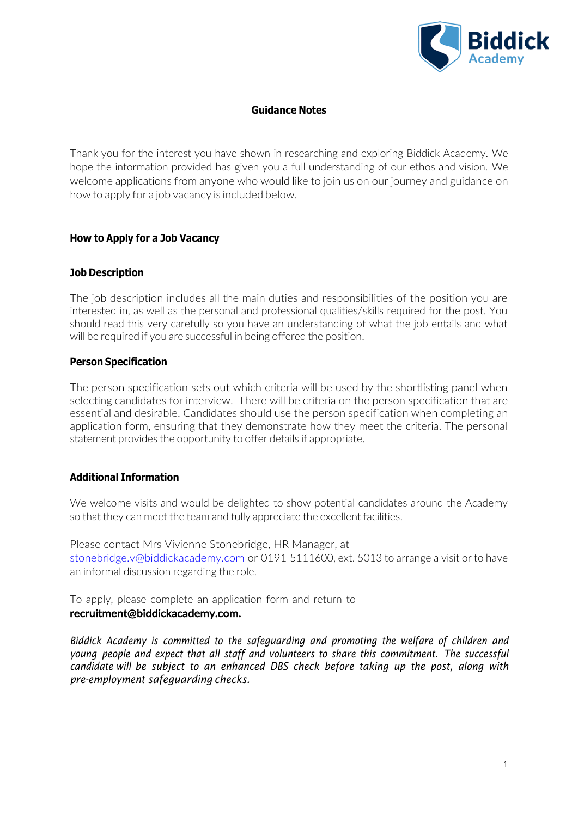

## **Guidance Notes**

Thank you for the interest you have shown in researching and exploring Biddick Academy. We hope the information provided has given you a full understanding of our ethos and vision. We welcome applications from anyone who would like to join us on our journey and guidance on how to apply for a job vacancy is included below.

### **How to Apply for a Job Vacancy**

## **Job Description**

The job description includes all the main duties and responsibilities of the position you are interested in, as well as the personal and professional qualities/skills required for the post. You should read this very carefully so you have an understanding of what the job entails and what will be required if you are successful in being offered the position.

### **Person Specification**

The person specification sets out which criteria will be used by the shortlisting panel when selecting candidates for interview. There will be criteria on the person specification that are essential and desirable. Candidates should use the person specification when completing an application form, ensuring that they demonstrate how they meet the criteria. The personal statement provides the opportunity to offer details if appropriate.

# **Additional Information**

We welcome visits and would be delighted to show potential candidates around the Academy so that they can meet the team and fully appreciate the excellent facilities.

Please contact Mrs Vivienne Stonebridge, HR Manager, at [stonebridge.v@biddickacademy.com](mailto:stonebridge.v@biddickacademy.com) or 0191 5111600, ext. 5013 to arrange a visit or to have an informal discussion regarding the role.

To apply, please complete an application form and return to recruitment@biddickacademy.com.

*Biddick Academy is committed to the safeguarding and promoting the welfare of children and young people and expect that all staff and volunteers to share this commitment. The successful candidate will be subject to an enhanced DBS check before taking up the post, along with pre-employment safeguarding checks.*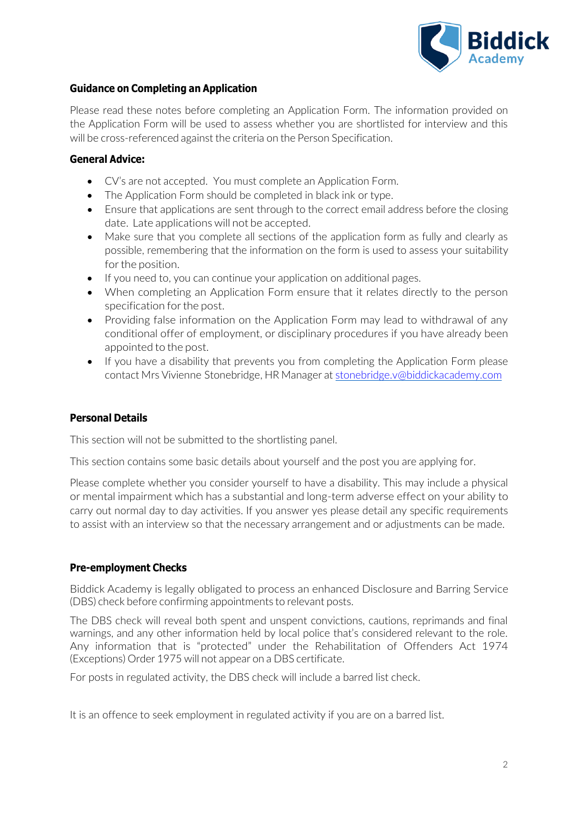

# **Guidance on Completing an Application**

Please read these notes before completing an Application Form. The information provided on the Application Form will be used to assess whether you are shortlisted for interview and this will be cross-referenced against the criteria on the Person Specification.

## **General Advice:**

- CV's are not accepted. You must complete an Application Form.
- The Application Form should be completed in black ink or type.
- Ensure that applications are sent through to the correct email address before the closing date. Late applications will not be accepted.
- Make sure that you complete all sections of the application form as fully and clearly as possible, remembering that the information on the form is used to assess your suitability for the position.
- If you need to, you can continue your application on additional pages.
- When completing an Application Form ensure that it relates directly to the person specification for the post.
- Providing false information on the Application Form may lead to withdrawal of any conditional offer of employment, or disciplinary procedures if you have already been appointed to the post.
- If you have a disability that prevents you from completing the Application Form please contact Mrs Vivienne Stonebridge, HR Manager at [stonebridge.v@biddickacademy.com](mailto:stonebridge.v@biddickacademy.com)

# **Personal Details**

This section will not be submitted to the shortlisting panel.

This section contains some basic details about yourself and the post you are applying for.

Please complete whether you consider yourself to have a disability. This may include a physical or mental impairment which has a substantial and long-term adverse effect on your ability to carry out normal day to day activities. If you answer yes please detail any specific requirements to assist with an interview so that the necessary arrangement and or adjustments can be made.

### **Pre-employment Checks**

Biddick Academy is legally obligated to process an enhanced Disclosure and Barring Service (DBS) check before confirming appointments to relevant posts.

The DBS check will reveal both spent and unspent convictions, cautions, reprimands and final warnings, and any other information held by local police that's considered relevant to the role. Any information that is "protected" under the Rehabilitation of Offenders Act 1974 (Exceptions) Order 1975 will not appear on a DBS certificate.

For posts in regulated activity, the DBS check will include a barred list check.

It is an offence to seek employment in regulated activity if you are on a barred list.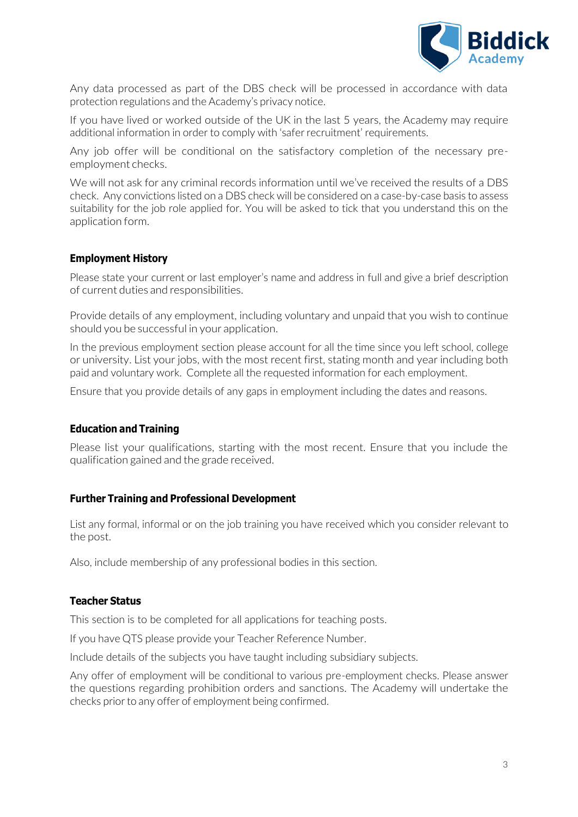

Any data processed as part of the DBS check will be processed in accordance with data protection regulations and the Academy's privacy notice.

If you have lived or worked outside of the UK in the last 5 years, the Academy may require additional information in order to comply with 'safer recruitment' requirements.

Any job offer will be conditional on the satisfactory completion of the necessary preemployment checks.

We will not ask for any criminal records information until we've received the results of a DBS check. Any convictions listed on a DBS check will be considered on a case-by-case basis to assess suitability for the job role applied for. You will be asked to tick that you understand this on the application form.

## **Employment History**

Please state your current or last employer's name and address in full and give a brief description of current duties and responsibilities.

Provide details of any employment, including voluntary and unpaid that you wish to continue should you be successful in your application.

In the previous employment section please account for all the time since you left school, college or university. List your jobs, with the most recent first, stating month and year including both paid and voluntary work. Complete all the requested information for each employment.

Ensure that you provide details of any gaps in employment including the dates and reasons.

### **Education and Training**

Please list your qualifications, starting with the most recent. Ensure that you include the qualification gained and the grade received.

### **Further Training and Professional Development**

List any formal, informal or on the job training you have received which you consider relevant to the post.

Also, include membership of any professional bodies in this section.

### **Teacher Status**

This section is to be completed for all applications for teaching posts.

If you have QTS please provide your Teacher Reference Number.

Include details of the subjects you have taught including subsidiary subjects.

Any offer of employment will be conditional to various pre-employment checks. Please answer the questions regarding prohibition orders and sanctions. The Academy will undertake the checks prior to any offer of employment being confirmed.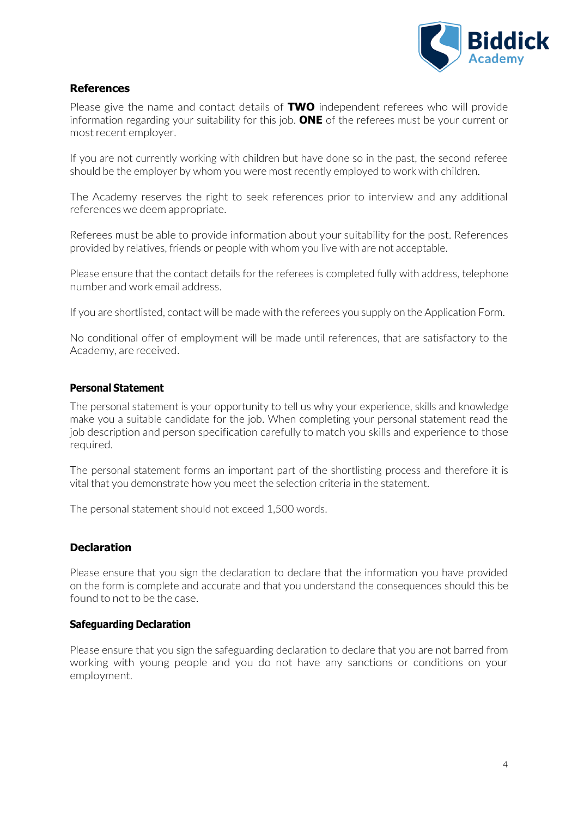

# **References**

Please give the name and contact details of **TWO** independent referees who will provide information regarding your suitability for this job. **ONE** of the referees must be your current or most recent employer.

If you are not currently working with children but have done so in the past, the second referee should be the employer by whom you were most recently employed to work with children.

The Academy reserves the right to seek references prior to interview and any additional references we deem appropriate.

Referees must be able to provide information about your suitability for the post. References provided by relatives, friends or people with whom you live with are not acceptable.

Please ensure that the contact details for the referees is completed fully with address, telephone number and work email address.

If you are shortlisted, contact will be made with the referees you supply on the Application Form.

No conditional offer of employment will be made until references, that are satisfactory to the Academy, are received.

## **Personal Statement**

The personal statement is your opportunity to tell us why your experience, skills and knowledge make you a suitable candidate for the job. When completing your personal statement read the job description and person specification carefully to match you skills and experience to those required.

The personal statement forms an important part of the shortlisting process and therefore it is vital that you demonstrate how you meet the selection criteria in the statement.

The personal statement should not exceed 1,500 words.

# **Declaration**

Please ensure that you sign the declaration to declare that the information you have provided on the form is complete and accurate and that you understand the consequences should this be found to not to be the case.

### **Safeguarding Declaration**

Please ensure that you sign the safeguarding declaration to declare that you are not barred from working with young people and you do not have any sanctions or conditions on your employment.